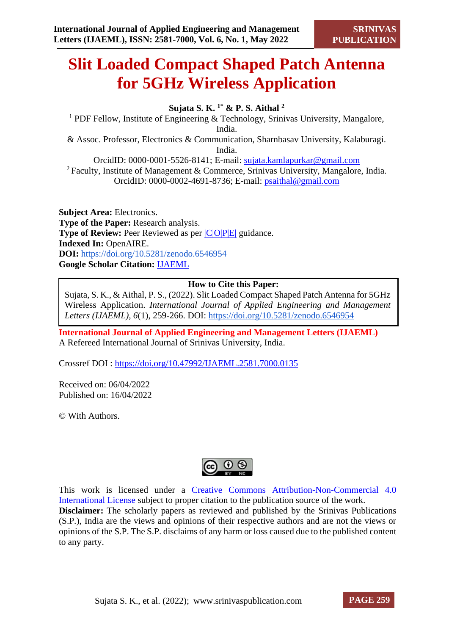# **Slit Loaded Compact Shaped Patch Antenna for 5GHz Wireless Application**

**Sujata S. K. 1\* & P. S. Aithal <sup>2</sup>**

<sup>1</sup> PDF Fellow, Institute of Engineering  $&$  Technology, Srinivas University, Mangalore, India. & Assoc. Professor, Electronics & Communication, Sharnbasav University, Kalaburagi. India. OrcidID: 0000-0001-5526-8141; E-mail: [sujata.kamlapurkar@gmail.com](mailto:sujata.kamlapurkar@gmail.com)

<sup>2</sup> Faculty, Institute of Management & Commerce, Srinivas University, Mangalore, India. OrcidID: 0000-0002-4691-8736; E-mail: [psaithal@gmail.com](mailto:psaithal@gmail.com)

**Subject Area:** Electronics. **Type of the Paper:** Research analysis. **Type of Review:** Peer Reviewed as per  $|C|O||P|E|$  guidance. **Indexed In:** OpenAIRE. **DOI:** <https://doi.org/10.5281/zenodo.6546954> **Google Scholar Citation:** [IJAEML](https://scholar.google.com/citations?user=Wb7oZPYAAAAJ)

## **How to Cite this Paper:**

Sujata, S. K., & Aithal, P. S., (2022). Slit Loaded Compact Shaped Patch Antenna for 5GHz Wireless Application. *International Journal of Applied Engineering and Management Letters (IJAEML)*, *6*(1), 259-266. DOI:<https://doi.org/10.5281/zenodo.6546954>

**International Journal of Applied Engineering and Management Letters (IJAEML)** A Refereed International Journal of Srinivas University, India.

Crossref DOI : [https://doi.org/10.47992/IJAEML.2581.7000.0135](https://search.crossref.org/?q=10.47992%2FIJAEML.2581.7000.0135&from_ui=yes)

Received on: 06/04/2022 Published on: 16/04/2022

© With Authors.



This work is licensed under a Creative Commons Attribution-Non-Commercial 4.0 International License subject to proper citation to the publication source of the work. **Disclaimer:** The scholarly papers as reviewed and published by the Srinivas Publications (S.P.), India are the views and opinions of their respective authors and are not the views or opinions of the S.P. The S.P. disclaims of any harm or loss caused due to the published content to any party.

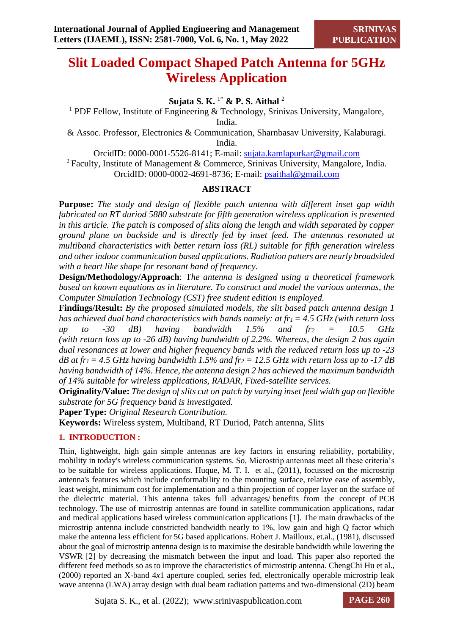# **Slit Loaded Compact Shaped Patch Antenna for 5GHz Wireless Application**

**Sujata S. K.** 1\* **& P. S. Aithal** <sup>2</sup>

<sup>1</sup> PDF Fellow, Institute of Engineering & Technology, Srinivas University, Mangalore, India.

& Assoc. Professor, Electronics & Communication, Sharnbasav University, Kalaburagi. India.

OrcidID: 0000-0001-5526-8141; E-mail: [sujata.kamlapurkar@gmail.com](mailto:sujata.kamlapurkar@gmail.com)

<sup>2</sup> Faculty, Institute of Management & Commerce, Srinivas University, Mangalore, India. OrcidID: 0000-0002-4691-8736; E-mail: [psaithal@gmail.com](mailto:psaithal@gmail.com)

# **ABSTRACT**

**Purpose:** *The study and design of flexible patch antenna with different inset gap width fabricated on RT duriod 5880 substrate for fifth generation wireless application is presented in this article. The patch is composed of slits along the length and width separated by copper ground plane on backside and is directly fed by inset feed. The antennas resonated at multiband characteristics with better return loss (RL) suitable for fifth generation wireless and other indoor communication based applications. Radiation patters are nearly broadsided with a heart like shape for resonant band of frequency.* 

**Design/Methodology/Approach**: T*he antenna is designed using a theoretical framework based on known equations as in literature. To construct and model the various antennas, the Computer Simulation Technology (CST) free student edition is employed.*

**Findings/Result:** *By the proposed simulated models, the slit based patch antenna design 1 has achieved dual band characteristics with bands namely: at fr1 = 4.5 GHz (with return loss up to -30 dB) having bandwidth 1.5% and fr<sup>2</sup> = 10.5 GHz (with return loss up to -26 dB) having bandwidth of 2.2%. Whereas, the design 2 has again dual resonances at lower and higher frequency bands with the reduced return loss up to -23 dB at fr1 = 4.5 GHz having bandwidth 1.5% and fr<sup>2</sup> = 12.5 GHz with return loss up to -17 dB having bandwidth of 14%. Hence, the antenna design 2 has achieved the maximum bandwidth of 14% suitable for wireless applications, RADAR, Fixed-satellite services.* 

**Originality/Value:** *The design of slits cut on patch by varying inset feed width gap on flexible substrate for 5G frequency band is investigated.*

**Paper Type:** *Original Research Contribution.*

**Keywords:** Wireless system, Multiband, RT Duriod, Patch antenna, Slits

# **1. INTRODUCTION :**

Thin, lightweight, high gain simple antennas are key factors in ensuring reliability, portability, mobility in today's wireless communication systems. So, Microstrip antennas meet all these criteria's to be suitable for wireless applications. Huque, M. T. I. et al., (2011), focussed on the microstrip antenna's features which include conformability to the mounting surface, relative ease of assembly, least weight, minimum cost for implementation and a thin projection of copper layer on the surface of the dielectric material. This antenna takes full advantages/ benefits from the concept of PCB technology. The use of microstrip antennas are found in satellite communication applications, radar and medical applications based wireless communication applications [1]. The main drawbacks of the microstrip antenna include constricted bandwidth nearly to 1%, low gain and high Q factor which make the antenna less efficient for 5G based applications. Robert J. Mailloux, et.al., (1981), discussed about the goal of microstrip antenna design is to maximise the desirable bandwidth while lowering the VSWR [2] by decreasing the mismatch between the input and load. This paper also reported the different feed methods so as to improve the characteristics of microstrip antenna. ChengChi Hu et al., (2000) reported an X-band 4*x*1 aperture coupled, series fed, electronically operable microstrip leak wave antenna (LWA) array design with dual beam radiation patterns and two-dimensional (2D) beam

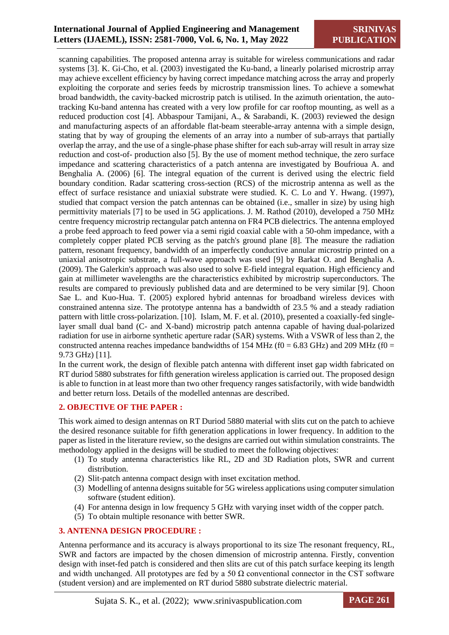## **International Journal of Applied Engineering and Management Letters (IJAEML), ISSN: 2581-7000, Vol. 6, No. 1, May 2022**

scanning capabilities. The proposed antenna array is suitable for wireless communications and radar systems [3]. K. Gi-Cho, et al. (2003) investigated the Ku-band, a linearly polarised microstrip array may achieve excellent efficiency by having correct impedance matching across the array and properly exploiting the corporate and series feeds by microstrip transmission lines. To achieve a somewhat broad bandwidth, the cavity-backed microstrip patch is utilised. In the azimuth orientation, the autotracking Ku-band antenna has created with a very low profile for car rooftop mounting, as well as a reduced production cost [4]. Abbaspour Tamijani, A., & Sarabandi, K. (2003) reviewed the design and manufacturing aspects of an affordable flat-beam steerable-array antenna with a simple design, stating that by way of grouping the elements of an array into a number of sub-arrays that partially overlap the array, and the use of a single-phase phase shifter for each sub-array will result in array size reduction and cost-of- production also [5]. By the use of moment method technique, the zero surface impedance and scattering characteristics of a patch antenna are investigated by Boufrioua A. and Benghalia A. (2006) [6]. The integral equation of the current is derived using the electric field boundary condition. Radar scattering cross-section (RCS) of the microstrip antenna as well as the effect of surface resistance and uniaxial substrate were studied. K. C. Lo and Y. Hwang. (1997), studied that compact version the patch antennas can be obtained (i.e., smaller in size) by using high permittivity materials [7] to be used in 5G applications. J. M. Rathod (2010), developed a 750 MHz centre frequency microstrip rectangular patch antenna on FR4 PCB dielectrics. The antenna employed a probe feed approach to feed power via a semi rigid coaxial cable with a 50-ohm impedance, with a completely copper plated PCB serving as the patch's ground plane [8]. The measure the radiation pattern, resonant frequency, bandwidth of an imperfectly conductive annular microstrip printed on a uniaxial anisotropic substrate, a full-wave approach was used [9] by Barkat O. and Benghalia A. (2009). The Galerkin's approach was also used to solve E-field integral equation. High efficiency and gain at millimeter wavelengths are the characteristics exhibited by microstrip superconductors. The results are compared to previously published data and are determined to be very similar [9]. Choon Sae L. and Kuo-Hua. T. (2005) explored hybrid antennas for broadband wireless devices with constrained antenna size. The prototype antenna has a bandwidth of 23.5 % and a steady radiation pattern with little cross-polarization. [10]. Islam, M. F. et al. (2010), presented a coaxially-fed singlelayer small dual band (C- and X-band) microstrip patch antenna capable of having dual-polarized radiation for use in airborne synthetic aperture radar (SAR) systems. With a VSWR of less than 2, the constructed antenna reaches impedance bandwidths of 154 MHz ( $f0 = 6.83$  GHz) and 209 MHz ( $f0 =$ 9.73 GHz) [11].

In the current work, the design of flexible patch antenna with different inset gap width fabricated on RT duriod 5880 substrates for fifth generation wireless application is carried out. The proposed design is able to function in at least more than two other frequency ranges satisfactorily, with wide bandwidth and better return loss. Details of the modelled antennas are described.

#### **2. OBJECTIVE OF THE PAPER :**

This work aimed to design antennas on RT Duriod 5880 material with slits cut on the patch to achieve the desired resonance suitable for fifth generation applications in lower frequency. In addition to the paper as listed in the literature review, so the designs are carried out within simulation constraints. The methodology applied in the designs will be studied to meet the following objectives:

- (1) To study antenna characteristics like RL, 2D and 3D Radiation plots, SWR and current distribution.
- (2) Slit-patch antenna compact design with inset excitation method.
- (3) Modelling of antenna designs suitable for 5G wireless applications using computer simulation software (student edition).
- (4) For antenna design in low frequency 5 GHz with varying inset width of the copper patch.
- (5) To obtain multiple resonance with better SWR.

#### **3. ANTENNA DESIGN PROCEDURE :**

Antenna performance and its accuracy is always proportional to its size The resonant frequency, RL, SWR and factors are impacted by the chosen dimension of microstrip antenna. Firstly, convention design with inset-fed patch is considered and then slits are cut of this patch surface keeping its length and width unchanged. All prototypes are fed by a 50  $\Omega$  conventional connector in the CST software (student version) and are implemented on RT duriod 5880 substrate dielectric material.

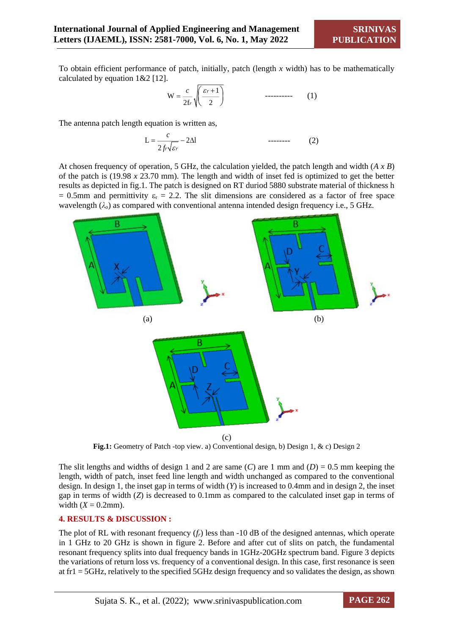To obtain efficient performance of patch, initially, patch (length *x* width) has to be mathematically calculated by equation 1&2 [12].

1 W 2f 2 *r r c* ---------- (1)

The antenna patch length equation is written as,

$$
L = \frac{c}{2f_r\sqrt{\varepsilon_r}} - 2\Delta l \tag{2}
$$

At chosen frequency of operation, 5 GHz, the calculation yielded, the patch length and width (*A x B*) of the patch is (19.98 *x* 23.70 mm). The length and width of inset fed is optimized to get the better results as depicted in fig.1. The patch is designed on RT duriod 5880 substrate material of thickness h  $= 0.5$ mm and permittivity  $\varepsilon_r = 2.2$ . The slit dimensions are considered as a factor of free space wavelength  $(\lambda_o)$  as compared with conventional antenna intended design frequency i.e., 5 GHz.



**Fig.1:** Geometry of Patch -top view. a) Conventional design, b) Design 1, & c) Design 2

The slit lengths and widths of design 1 and 2 are same  $(C)$  are 1 mm and  $(D) = 0.5$  mm keeping the length, width of patch, inset feed line length and width unchanged as compared to the conventional design. In design 1, the inset gap in terms of width (*Y*) is increased to 0.4mm and in design 2, the inset gap in terms of width (*Z*) is decreased to 0.1mm as compared to the calculated inset gap in terms of width  $(X = 0.2$ mm).

#### **4. RESULTS & DISCUSSION :**

The plot of RL with resonant frequency (*fr*) less than -10 dB of the designed antennas, which operate in 1 GHz to 20 GHz is shown in figure 2. Before and after cut of slits on patch, the fundamental resonant frequency splits into dual frequency bands in 1GHz-20GHz spectrum band. Figure 3 depicts the variations of return loss vs. frequency of a conventional design. In this case, first resonance is seen at fr1 = 5GHz, relatively to the specified 5GHz design frequency and so validates the design, as shown

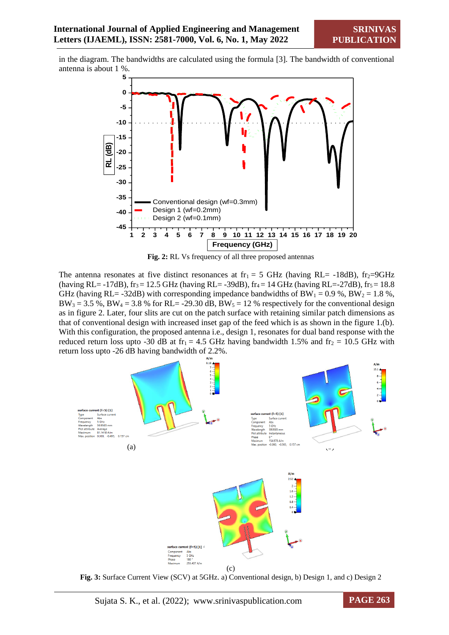in the diagram. The bandwidths are calculated using the formula [3]. The bandwidth of conventional antenna is about 1 %.



**Fig. 2:** RL Vs frequency of all three proposed antennas

The antenna resonates at five distinct resonances at fr<sub>1</sub> = 5 GHz (having RL= -18dB), fr<sub>2</sub>=9GHz (having RL= -17dB), fr<sub>3</sub> = 12.5 GHz (having RL= -39dB), fr<sub>4</sub> = 14 GHz (having RL=-27dB), fr<sub>5</sub> = 18.8 GHz (having RL= -32dB) with corresponding impedance bandwidths of  $BW_1 = 0.9$ %,  $BW_2 = 1.8$ %,  $BW_3 = 3.5$  %,  $BW_4 = 3.8$  % for RL= -29.30 dB,  $BW_5 = 12$  % respectively for the conventional design as in figure 2. Later, four slits are cut on the patch surface with retaining similar patch dimensions as that of conventional design with increased inset gap of the feed which is as shown in the figure 1.(b). With this configuration, the proposed antenna i.e., design 1, resonates for dual band response with the reduced return loss upto -30 dB at fr<sub>1</sub> = 4.5 GHz having bandwidth 1.5% and fr<sub>2</sub> = 10.5 GHz with return loss upto -26 dB having bandwidth of 2.2%.



**Fig. 3:** Surface Current View (SCV) at 5GHz. a) Conventional design, b) Design 1, and c) Design 2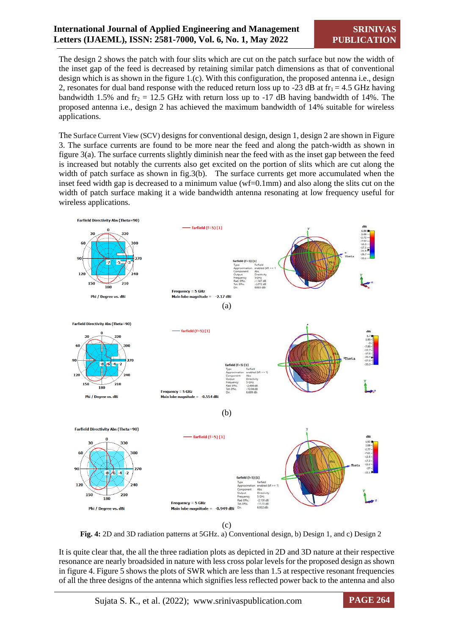The design 2 shows the patch with four slits which are cut on the patch surface but now the width of the inset gap of the feed is decreased by retaining similar patch dimensions as that of conventional design which is as shown in the figure 1.(c). With this configuration, the proposed antenna i.e., design 2, resonates for dual band response with the reduced return loss up to -23 dB at  $fr_1 = 4.5$  GHz having bandwidth 1.5% and fr<sub>2</sub> = 12.5 GHz with return loss up to -17 dB having bandwidth of 14%. The proposed antenna i.e., design 2 has achieved the maximum bandwidth of 14% suitable for wireless applications.

The Surface Current View (SCV) designs for conventional design, design 1, design 2 are shown in Figure 3. The surface currents are found to be more near the feed and along the patch-width as shown in figure 3(a). The surface currents slightly diminish near the feed with as the inset gap between the feed is increased but notably the currents also get excited on the portion of slits which are cut along the width of patch surface as shown in fig.3(b). The surface currents get more accumulated when the inset feed width gap is decreased to a minimum value (wf=0.1mm) and also along the slits cut on the width of patch surface making it a wide bandwidth antenna resonating at low frequency useful for wireless applications.



**Fig. 4:** 2D and 3D radiation patterns at 5GHz. a) Conventional design, b) Design 1, and c) Design 2

It is quite clear that, the all the three radiation plots as depicted in 2D and 3D nature at their respective resonance are nearly broadsided in nature with less cross polar levels for the proposed design as shown in figure 4. Figure 5 shows the plots of SWR which are less than 1.5 at respective resonant frequencies of all the three designs of the antenna which signifies less reflected power back to the antenna and also

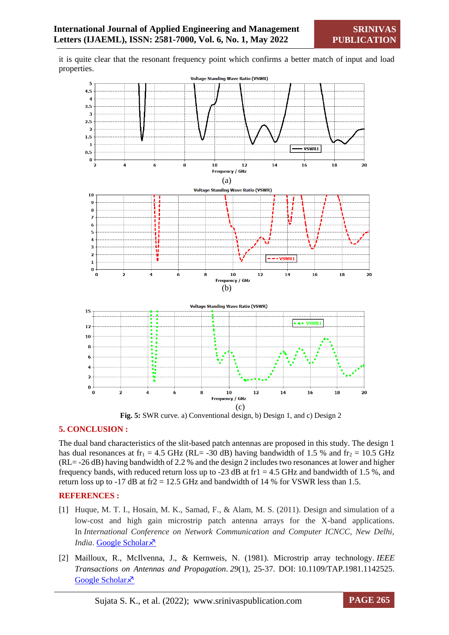it is quite clear that the resonant frequency point which confirms a better match of input and load properties.



**Fig. 5:** SWR curve. a) Conventional design, b) Design 1, and c) Design 2

#### **5. CONCLUSION :**

The dual band characteristics of the slit-based patch antennas are proposed in this study. The design 1 has dual resonances at  $fr_1 = 4.5$  GHz (RL= -30 dB) having bandwidth of 1.5 % and  $fr_2 = 10.5$  GHz (RL= -26 dB) having bandwidth of 2.2 % and the design 2 includes two resonances at lower and higher frequency bands, with reduced return loss up to -23 dB at fr1 = 4.5 GHz and bandwidth of 1.5 %, and return loss up to -17 dB at fr2 = 12.5 GHz and bandwidth of 14 % for VSWR less than 1.5.

#### **REFERENCES :**

- [1] Huque, M. T. I., Hosain, M. K., Samad, F., & Alam, M. S. (2011). Design and simulation of a low-cost and high gain microstrip patch antenna arrays for the X-band applications. In *International Conference on Network Communication and Computer ICNCC, New Delhi, India*. [Google Scholar](https://scholar.google.com/citations?view_op=view_citation&hl=en&user=-6Ql55sAAAAJ&citation_for_view=-6Ql55sAAAAJ:TQgYirikUcIC) ×
- [2] Mailloux, R., McIlvenna, J., & Kernweis, N. (1981). Microstrip array technology. *IEEE Transactions on Antennas and Propagation*. *29*(1), 25-37. DOI: [10.1109/TAP.1981.1142525.](https://doi.org/10.1109/TAP.1981.1142525) [Google Scholar](https://ieeexplore.ieee.org/abstract/document/1142525) ×